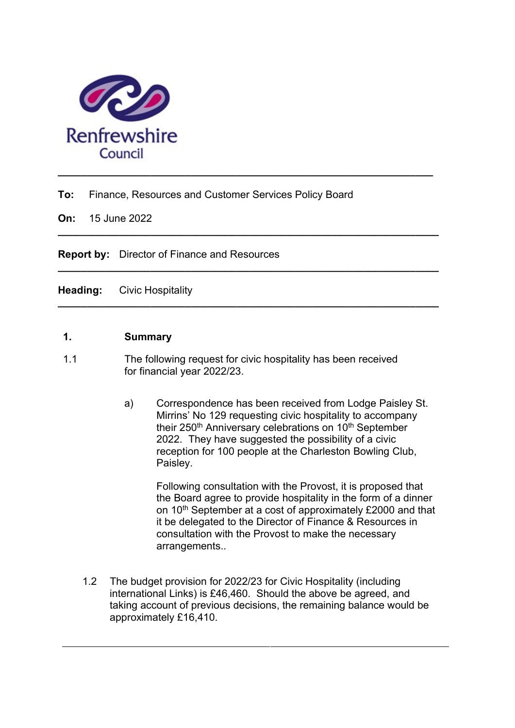

To: Finance, Resources and Customer Services Policy Board

On: 15 June 2022

Report by: Director of Finance and Resources

Heading: Civic Hospitality

## 1. Summary

1.1 The following request for civic hospitality has been received for financial year 2022/23.

 $\overline{\phantom{a}}$  , and the contribution of the contribution of the contribution of the contribution of the contribution of the contribution of the contribution of the contribution of the contribution of the contribution of the

 $\overline{\phantom{a}}$  , and the contribution of the contribution of the contribution of the contribution of the contribution of the contribution of the contribution of the contribution of the contribution of the contribution of the

 $\overline{\phantom{a}}$  , and the contribution of the contribution of the contribution of the contribution of the contribution of the contribution of the contribution of the contribution of the contribution of the contribution of the

a) Correspondence has been received from Lodge Paisley St. Mirrins' No 129 requesting civic hospitality to accompany their 250<sup>th</sup> Anniversary celebrations on 10<sup>th</sup> September 2022. They have suggested the possibility of a civic reception for 100 people at the Charleston Bowling Club, Paisley.

> Following consultation with the Provost, it is proposed that the Board agree to provide hospitality in the form of a dinner on 10<sup>th</sup> September at a cost of approximately £2000 and that it be delegated to the Director of Finance & Resources in consultation with the Provost to make the necessary arrangements..

1.2 The budget provision for 2022/23 for Civic Hospitality (including international Links) is £46,460. Should the above be agreed, and taking account of previous decisions, the remaining balance would be approximately £16,410.